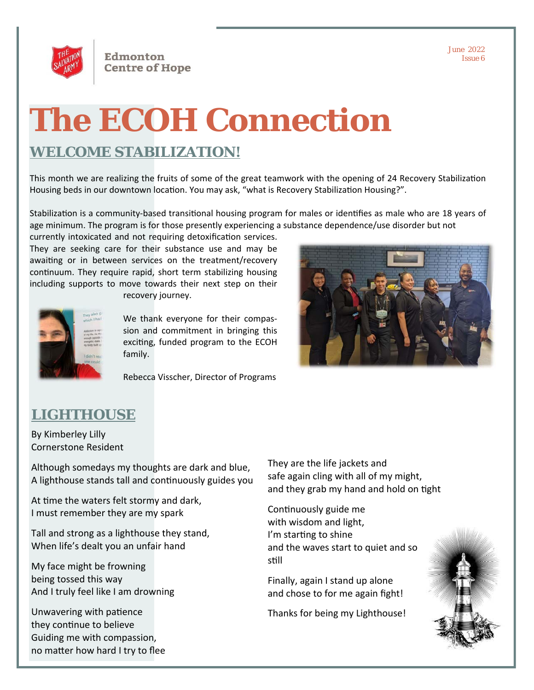

June 2022 Issue 6

# **The ECOH Connection WELCOME STABILIZATION!**

This month we are realizing the fruits of some of the great teamwork with the opening of 24 Recovery Stabilization Housing beds in our downtown location. You may ask, "what is Recovery Stabilization Housing?".

Stabilization is a community-based transitional housing program for males or identifies as male who are 18 years of age minimum. The program is for those presently experiencing a substance dependence/use disorder but not

currently intoxicated and not requiring detoxification services.

They are seeking care for their substance use and may be awaiting or in between services on the treatment/recovery continuum. They require rapid, short term stabilizing housing including supports to move towards their next step on their recovery journey.



We thank everyone for their compassion and commitment in bringing this exciting, funded program to the ECOH family.

Rebecca Visscher, Director of Programs

#### **LIGHTHOUSE**

By Kimberley Lilly Cornerstone Resident

Although somedays my thoughts are dark and blue, A lighthouse stands tall and continuously guides you

At time the waters felt stormy and dark, I must remember they are my spark

Tall and strong as a lighthouse they stand, When life's dealt you an unfair hand

My face might be frowning being tossed this way And I truly feel like I am drowning

Unwavering with patience they continue to believe Guiding me with compassion, no matter how hard I try to flee They are the life jackets and safe again cling with all of my might, and they grab my hand and hold on tight

Continuously guide me with wisdom and light, I'm starting to shine and the waves start to quiet and so sƟll

Finally, again I stand up alone and chose to for me again fight!

Thanks for being my Lighthouse!



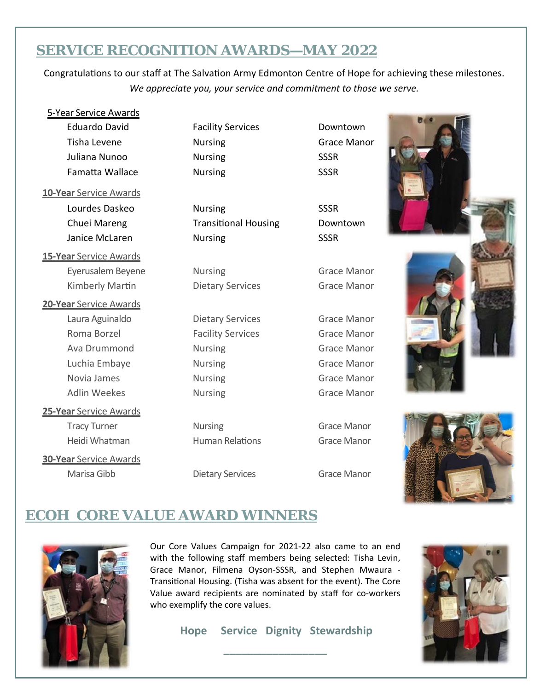#### **SERVICE RECOGNITION AWARDS—MAY 2022**

Congratulations to our staff at The Salvation Army Edmonton Centre of Hope for achieving these milestones. *We appreciate you, your service and commitment to those we serve.* 

- 5‐Year Service Awards Eduardo David **Cauca Eduardo David Facility Services Eduardo Downtown**  Tisha Levene Nursing Grace Manor Juliana Nunoo Nursing SSSR FamaƩa Wallace Nursing SSSR **10‐Year** Service Awards
	-
- **15‐Year** Service Awards Eyerusalem Beyene **Internal Contact Contact Contact Contact Contact Contact Contact Contact Contact Contact Contact Contact Contact Contact Contact Contact Contact Contact Contact Contact Contact Contact Contact Contact Co** Kimberly Martin **Brand Brand Dietary Services Grace Manor**
- **20‐Year** Service Awards Laura Aguinaldo  **Grace Manor** Dietary Services Grace Manor Roma Borzel **Brace Contract Contract Facility Services Canadia** Grace Manor Ava Drummond Nursing Grace Manor Luchia Embaye Nursing Grace Manor Novia James Nursing Grace Manor
- **25‐Year** Service Awards Tracy Turner Nursing Grace Manor
- **30‐Year** Service Awards

Lourdes Daskeo Nursing SSSR Chuei Mareng **Transitional Housing Downtown** Janice McLaren Nursing SSSR

Heidi Whatman **Human Relations** Grace Manor

Marisa Gibb **Brace Concrete Concrete Concrete Concrete Concrete Concrete Concrete Concrete Concrete Concrete Co** 

Adlin Weekes *Nursing*  **Crace Manor** 





#### **ECOH CORE VALUE AWARD WINNERS**



Our Core Values Campaign for 2021‐22 also came to an end with the following staff members being selected: Tisha Levin, Grace Manor, Filmena Oyson‐SSSR, and Stephen Mwaura ‐ Transitional Housing. (Tisha was absent for the event). The Core Value award recipients are nominated by staff for co‐workers who exemplify the core values.

**Hope Service Dignity Stewardship** 

**\_\_\_\_\_\_\_\_\_\_\_\_\_\_\_\_\_** 

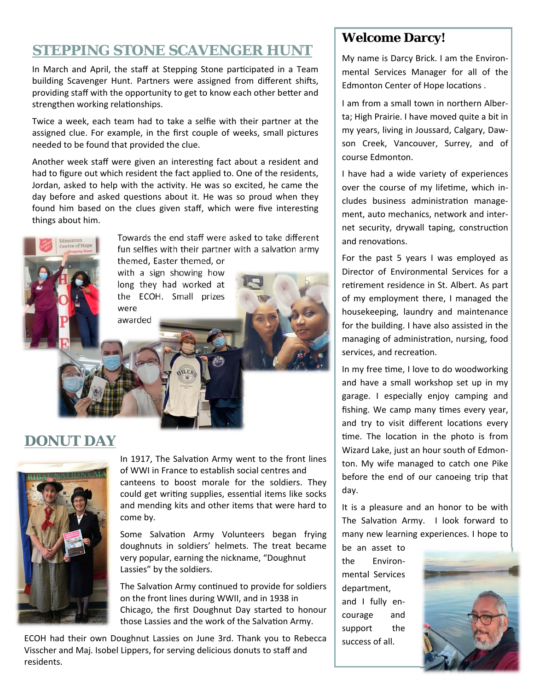### **STEPPING STONE SCAVENGER HUNT**

In March and April, the staff at Stepping Stone participated in a Team building Scavenger Hunt. Partners were assigned from different shifts, providing staff with the opportunity to get to know each other better and strengthen working relationships.

Twice a week, each team had to take a selfie with their partner at the assigned clue. For example, in the first couple of weeks, small pictures needed to be found that provided the clue.

Another week staff were given an interesting fact about a resident and had to figure out which resident the fact applied to. One of the residents, Jordan, asked to help with the activity. He was so excited, he came the day before and asked questions about it. He was so proud when they found him based on the clues given staff, which were five interesting things about him.

tre of Hope

Towards the end staff were asked to take different fun selfies with their partner with a salvation army themed, Easter themed, or

with a sign showing how long they had worked at the ECOH. Small prizes were awarded

**ILEA** 





In 1917, The Salvation Army went to the front lines of WWI in France to establish social centres and canteens to boost morale for the soldiers. They could get writing supplies, essential items like socks and mending kits and other items that were hard to come by.

Some Salvation Army Volunteers began frying doughnuts in soldiers' helmets. The treat became very popular, earning the nickname, "Doughnut Lassies" by the soldiers.

The Salvation Army continued to provide for soldiers on the front lines during WWII, and in 1938 in Chicago, the first Doughnut Day started to honour those Lassies and the work of the Salvation Army.

ECOH had their own Doughnut Lassies on June 3rd. Thank you to Rebecca Visscher and Maj. Isobel Lippers, for serving delicious donuts to staff and residents.

#### **Welcome Darcy!**

My name is Darcy Brick. I am the Environ‐ mental Services Manager for all of the Edmonton Center of Hope locations.

I am from a small town in northern Alber‐ ta; High Prairie. I have moved quite a bit in my years, living in Joussard, Calgary, Daw‐ son Creek, Vancouver, Surrey, and of course Edmonton.

I have had a wide variety of experiences over the course of my lifetime, which includes business administration management, auto mechanics, network and inter‐ net security, drywall taping, construction and renovations.

For the past 5 years I was employed as Director of Environmental Services for a retirement residence in St. Albert. As part of my employment there, I managed the housekeeping, laundry and maintenance for the building. I have also assisted in the managing of administration, nursing, food services, and recreation.

In my free time, I love to do woodworking and have a small workshop set up in my garage. I especially enjoy camping and fishing. We camp many times every year, and try to visit different locations every time. The location in the photo is from Wizard Lake, just an hour south of Edmon‐ ton. My wife managed to catch one Pike before the end of our canoeing trip that day.

It is a pleasure and an honor to be with The Salvation Army. I look forward to many new learning experiences. I hope to

be an asset to the Environmental Services department, and I fully encourage and support the success of all.